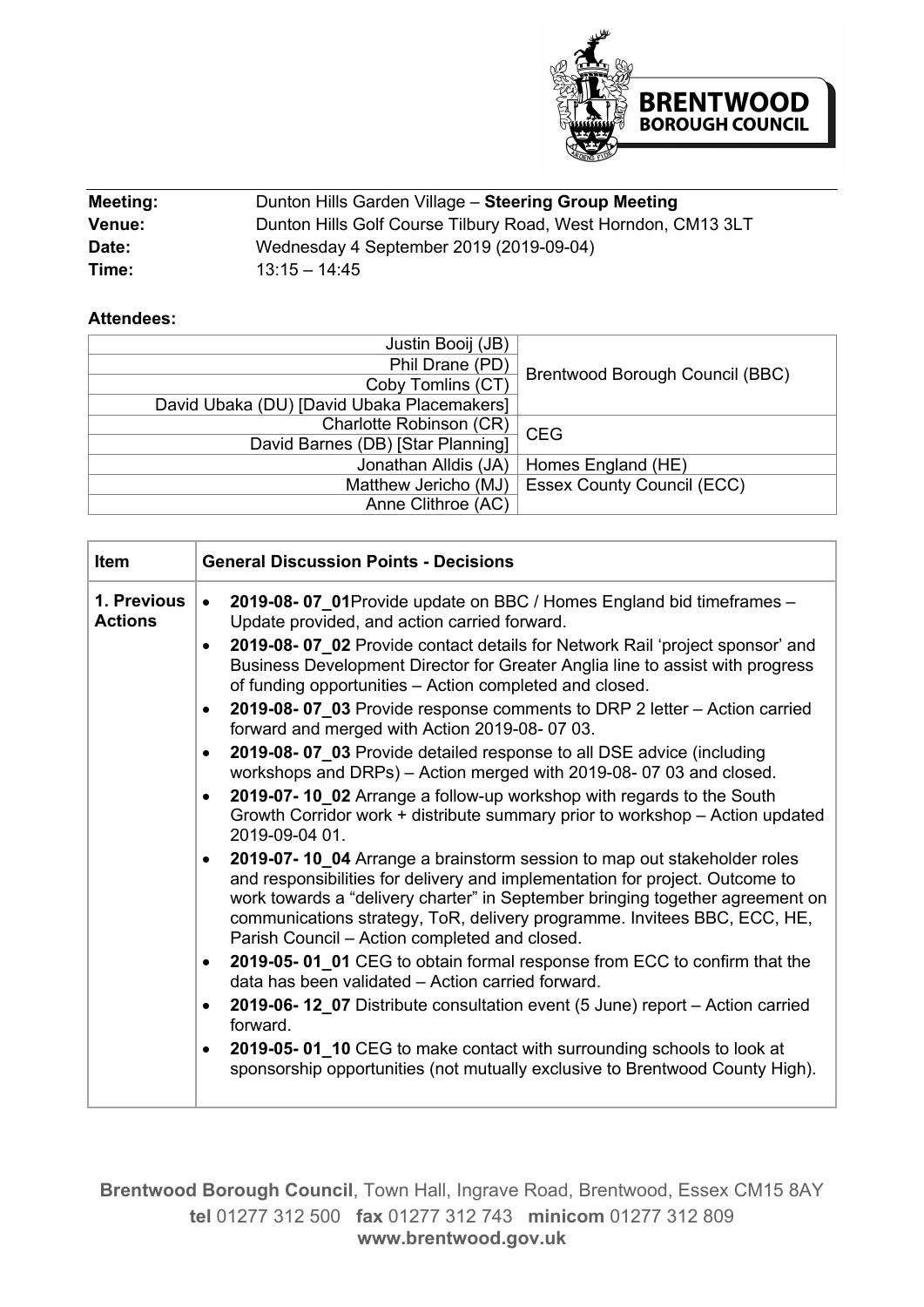

| Meeting:      | Dunton Hills Garden Village - Steering Group Meeting          |  |
|---------------|---------------------------------------------------------------|--|
| <b>Venue:</b> | Dunton Hills Golf Course Tilbury Road, West Horndon, CM13 3LT |  |
| Date:         | Wednesday 4 September 2019 (2019-09-04)                       |  |
| Time:         | $13.15 - 14.45$                                               |  |

## **Attendees:**

| Justin Booij (JB)                          |                                   |
|--------------------------------------------|-----------------------------------|
| Phil Drane (PD)                            |                                   |
| Coby Tomlins (CT)                          | Brentwood Borough Council (BBC)   |
| David Ubaka (DU) [David Ubaka Placemakers] |                                   |
| Charlotte Robinson (CR)                    | <b>CEG</b>                        |
| David Barnes (DB) [Star Planning]          |                                   |
| Jonathan Alldis (JA)                       | Homes England (HE)                |
| Matthew Jericho (MJ)                       | <b>Essex County Council (ECC)</b> |
| Anne Clithroe (AC)                         |                                   |

| <b>Item</b>                   | <b>General Discussion Points - Decisions</b>                                                                                                                                                                                                                                                                                                                                       |  |  |  |
|-------------------------------|------------------------------------------------------------------------------------------------------------------------------------------------------------------------------------------------------------------------------------------------------------------------------------------------------------------------------------------------------------------------------------|--|--|--|
| 1. Previous<br><b>Actions</b> | 2019-08-07_01Provide update on BBC / Homes England bid timeframes -<br>$\bullet$<br>Update provided, and action carried forward.                                                                                                                                                                                                                                                   |  |  |  |
|                               | 2019-08-07 02 Provide contact details for Network Rail 'project sponsor' and<br>$\bullet$<br>Business Development Director for Greater Anglia line to assist with progress<br>of funding opportunities - Action completed and closed.                                                                                                                                              |  |  |  |
|                               | 2019-08-07_03 Provide response comments to DRP 2 letter - Action carried<br>$\bullet$<br>forward and merged with Action 2019-08-07 03.                                                                                                                                                                                                                                             |  |  |  |
|                               | 2019-08-07 03 Provide detailed response to all DSE advice (including<br>$\bullet$<br>workshops and DRPs) - Action merged with 2019-08-07 03 and closed.                                                                                                                                                                                                                            |  |  |  |
|                               | 2019-07-10_02 Arrange a follow-up workshop with regards to the South<br>$\bullet$<br>Growth Corridor work + distribute summary prior to workshop - Action updated<br>2019-09-04 01.                                                                                                                                                                                                |  |  |  |
|                               | 2019-07-10 04 Arrange a brainstorm session to map out stakeholder roles<br>$\bullet$<br>and responsibilities for delivery and implementation for project. Outcome to<br>work towards a "delivery charter" in September bringing together agreement on<br>communications strategy, ToR, delivery programme. Invitees BBC, ECC, HE,<br>Parish Council - Action completed and closed. |  |  |  |
|                               | 2019-05-01_01 CEG to obtain formal response from ECC to confirm that the<br>$\bullet$<br>data has been validated - Action carried forward.                                                                                                                                                                                                                                         |  |  |  |
|                               | 2019-06-12 07 Distribute consultation event (5 June) report – Action carried<br>$\bullet$<br>forward.                                                                                                                                                                                                                                                                              |  |  |  |
|                               | 2019-05-01_10 CEG to make contact with surrounding schools to look at<br>$\bullet$<br>sponsorship opportunities (not mutually exclusive to Brentwood County High).                                                                                                                                                                                                                 |  |  |  |

**Brentwood Borough Council**, Town Hall, Ingrave Road, Brentwood, Essex CM15 8AY **tel** 01277 312 500 **fax** 01277 312 743 **minicom** 01277 312 809 **www.brentwood.gov.uk**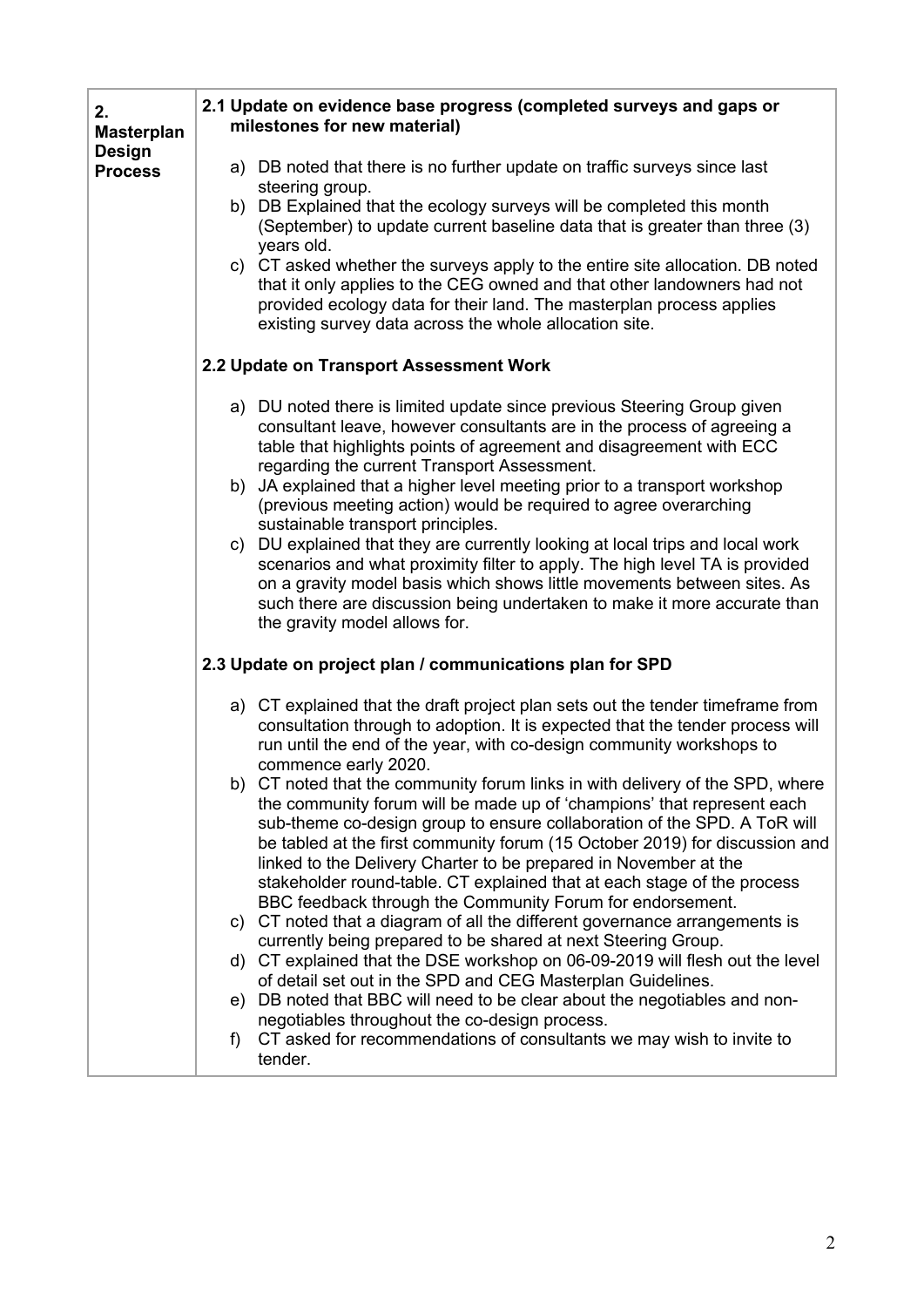| 2.<br><b>Masterplan</b>         | 2.1 Update on evidence base progress (completed surveys and gaps or<br>milestones for new material)                                                                                                                                                                                                                                                                                                                                                                                                                            |  |  |  |  |
|---------------------------------|--------------------------------------------------------------------------------------------------------------------------------------------------------------------------------------------------------------------------------------------------------------------------------------------------------------------------------------------------------------------------------------------------------------------------------------------------------------------------------------------------------------------------------|--|--|--|--|
| <b>Design</b><br><b>Process</b> | a) DB noted that there is no further update on traffic surveys since last<br>steering group.                                                                                                                                                                                                                                                                                                                                                                                                                                   |  |  |  |  |
|                                 | b) DB Explained that the ecology surveys will be completed this month<br>(September) to update current baseline data that is greater than three (3)<br>years old.                                                                                                                                                                                                                                                                                                                                                              |  |  |  |  |
|                                 | c) CT asked whether the surveys apply to the entire site allocation. DB noted<br>that it only applies to the CEG owned and that other landowners had not<br>provided ecology data for their land. The masterplan process applies<br>existing survey data across the whole allocation site.                                                                                                                                                                                                                                     |  |  |  |  |
|                                 | 2.2 Update on Transport Assessment Work                                                                                                                                                                                                                                                                                                                                                                                                                                                                                        |  |  |  |  |
|                                 | a) DU noted there is limited update since previous Steering Group given<br>consultant leave, however consultants are in the process of agreeing a<br>table that highlights points of agreement and disagreement with ECC<br>regarding the current Transport Assessment.                                                                                                                                                                                                                                                        |  |  |  |  |
|                                 | b) JA explained that a higher level meeting prior to a transport workshop<br>(previous meeting action) would be required to agree overarching<br>sustainable transport principles.                                                                                                                                                                                                                                                                                                                                             |  |  |  |  |
|                                 | c) DU explained that they are currently looking at local trips and local work<br>scenarios and what proximity filter to apply. The high level TA is provided<br>on a gravity model basis which shows little movements between sites. As<br>such there are discussion being undertaken to make it more accurate than<br>the gravity model allows for.                                                                                                                                                                           |  |  |  |  |
|                                 | 2.3 Update on project plan / communications plan for SPD                                                                                                                                                                                                                                                                                                                                                                                                                                                                       |  |  |  |  |
|                                 | a) CT explained that the draft project plan sets out the tender timeframe from<br>consultation through to adoption. It is expected that the tender process will<br>run until the end of the year, with co-design community workshops to<br>commence early 2020.                                                                                                                                                                                                                                                                |  |  |  |  |
|                                 | b) CT noted that the community forum links in with delivery of the SPD, where<br>the community forum will be made up of 'champions' that represent each<br>sub-theme co-design group to ensure collaboration of the SPD. A ToR will<br>be tabled at the first community forum (15 October 2019) for discussion and<br>linked to the Delivery Charter to be prepared in November at the<br>stakeholder round-table. CT explained that at each stage of the process<br>BBC feedback through the Community Forum for endorsement. |  |  |  |  |
|                                 | c) CT noted that a diagram of all the different governance arrangements is<br>currently being prepared to be shared at next Steering Group.                                                                                                                                                                                                                                                                                                                                                                                    |  |  |  |  |
|                                 | d) CT explained that the DSE workshop on 06-09-2019 will flesh out the level<br>of detail set out in the SPD and CEG Masterplan Guidelines.                                                                                                                                                                                                                                                                                                                                                                                    |  |  |  |  |
|                                 | e) DB noted that BBC will need to be clear about the negotiables and non-<br>negotiables throughout the co-design process.                                                                                                                                                                                                                                                                                                                                                                                                     |  |  |  |  |
|                                 | CT asked for recommendations of consultants we may wish to invite to<br>f)<br>tender.                                                                                                                                                                                                                                                                                                                                                                                                                                          |  |  |  |  |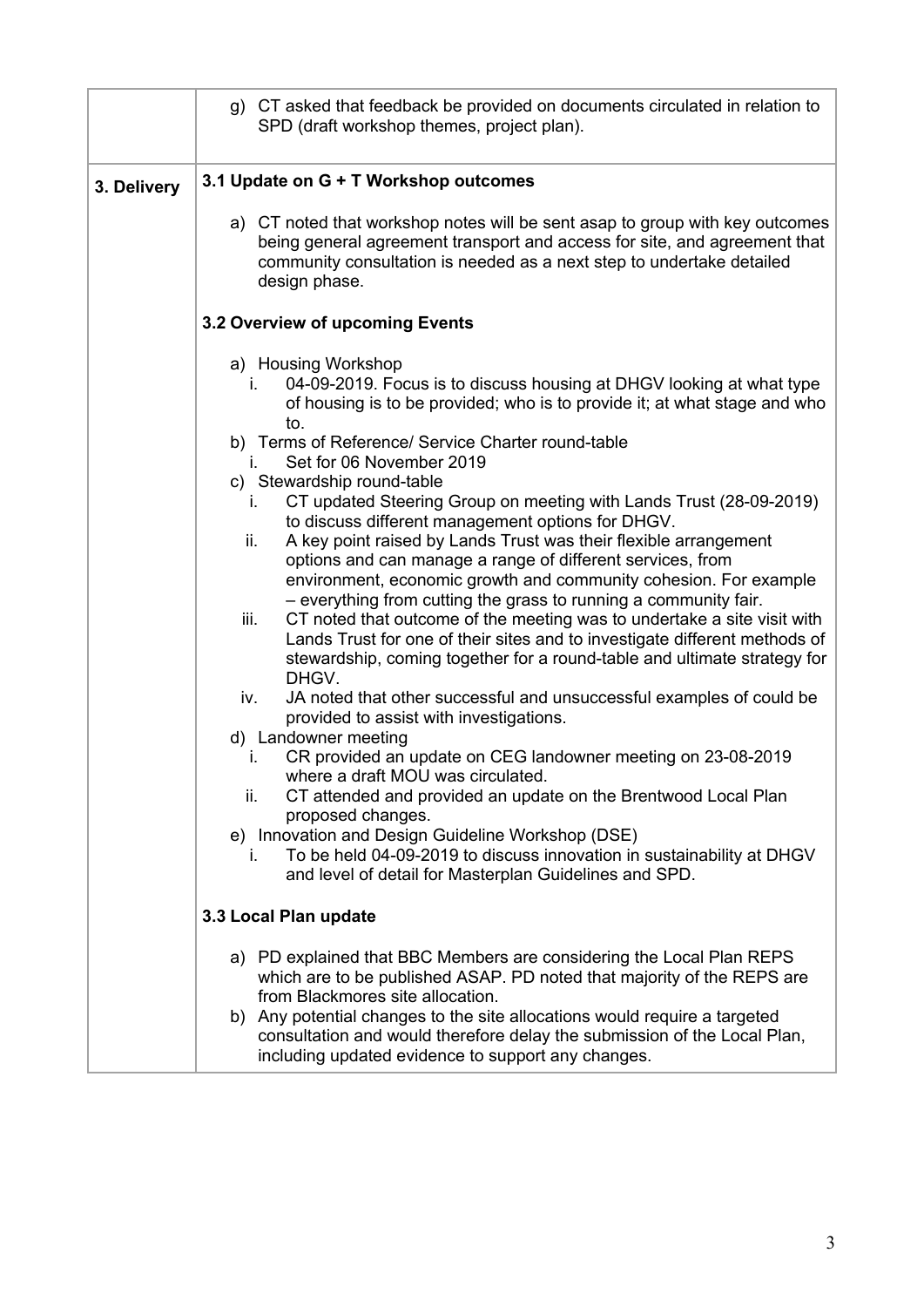|             | g) CT asked that feedback be provided on documents circulated in relation to<br>SPD (draft workshop themes, project plan).                                                                                                                                                                                                                                                                                                                                                                                                                                                                                                                                                                                                                                                                                                                                                                                                                                                                                                                                                                                                                                                                                  |  |  |  |  |
|-------------|-------------------------------------------------------------------------------------------------------------------------------------------------------------------------------------------------------------------------------------------------------------------------------------------------------------------------------------------------------------------------------------------------------------------------------------------------------------------------------------------------------------------------------------------------------------------------------------------------------------------------------------------------------------------------------------------------------------------------------------------------------------------------------------------------------------------------------------------------------------------------------------------------------------------------------------------------------------------------------------------------------------------------------------------------------------------------------------------------------------------------------------------------------------------------------------------------------------|--|--|--|--|
| 3. Delivery | 3.1 Update on G + T Workshop outcomes                                                                                                                                                                                                                                                                                                                                                                                                                                                                                                                                                                                                                                                                                                                                                                                                                                                                                                                                                                                                                                                                                                                                                                       |  |  |  |  |
|             | a) CT noted that workshop notes will be sent asap to group with key outcomes<br>being general agreement transport and access for site, and agreement that<br>community consultation is needed as a next step to undertake detailed<br>design phase.                                                                                                                                                                                                                                                                                                                                                                                                                                                                                                                                                                                                                                                                                                                                                                                                                                                                                                                                                         |  |  |  |  |
|             | 3.2 Overview of upcoming Events                                                                                                                                                                                                                                                                                                                                                                                                                                                                                                                                                                                                                                                                                                                                                                                                                                                                                                                                                                                                                                                                                                                                                                             |  |  |  |  |
|             | a) Housing Workshop<br>04-09-2019. Focus is to discuss housing at DHGV looking at what type<br>i.<br>of housing is to be provided; who is to provide it; at what stage and who<br>to.<br>b) Terms of Reference/ Service Charter round-table<br>Set for 06 November 2019<br>i.<br>c) Stewardship round-table<br>CT updated Steering Group on meeting with Lands Trust (28-09-2019)<br>i.<br>to discuss different management options for DHGV.<br>A key point raised by Lands Trust was their flexible arrangement<br>ii.<br>options and can manage a range of different services, from<br>environment, economic growth and community cohesion. For example<br>- everything from cutting the grass to running a community fair.<br>CT noted that outcome of the meeting was to undertake a site visit with<br>iii.<br>Lands Trust for one of their sites and to investigate different methods of<br>stewardship, coming together for a round-table and ultimate strategy for<br>DHGV.<br>JA noted that other successful and unsuccessful examples of could be<br>iv.<br>provided to assist with investigations.<br>d) Landowner meeting<br>CR provided an update on CEG landowner meeting on 23-08-2019<br>L. |  |  |  |  |
|             | where a draft MOU was circulated.<br>CT attended and provided an update on the Brentwood Local Plan<br>ii.<br>proposed changes.                                                                                                                                                                                                                                                                                                                                                                                                                                                                                                                                                                                                                                                                                                                                                                                                                                                                                                                                                                                                                                                                             |  |  |  |  |
|             | e) Innovation and Design Guideline Workshop (DSE)<br>To be held 04-09-2019 to discuss innovation in sustainability at DHGV<br>i.<br>and level of detail for Masterplan Guidelines and SPD.                                                                                                                                                                                                                                                                                                                                                                                                                                                                                                                                                                                                                                                                                                                                                                                                                                                                                                                                                                                                                  |  |  |  |  |
|             | 3.3 Local Plan update                                                                                                                                                                                                                                                                                                                                                                                                                                                                                                                                                                                                                                                                                                                                                                                                                                                                                                                                                                                                                                                                                                                                                                                       |  |  |  |  |
|             | a) PD explained that BBC Members are considering the Local Plan REPS<br>which are to be published ASAP. PD noted that majority of the REPS are<br>from Blackmores site allocation.                                                                                                                                                                                                                                                                                                                                                                                                                                                                                                                                                                                                                                                                                                                                                                                                                                                                                                                                                                                                                          |  |  |  |  |
|             | b) Any potential changes to the site allocations would require a targeted<br>consultation and would therefore delay the submission of the Local Plan,<br>including updated evidence to support any changes.                                                                                                                                                                                                                                                                                                                                                                                                                                                                                                                                                                                                                                                                                                                                                                                                                                                                                                                                                                                                 |  |  |  |  |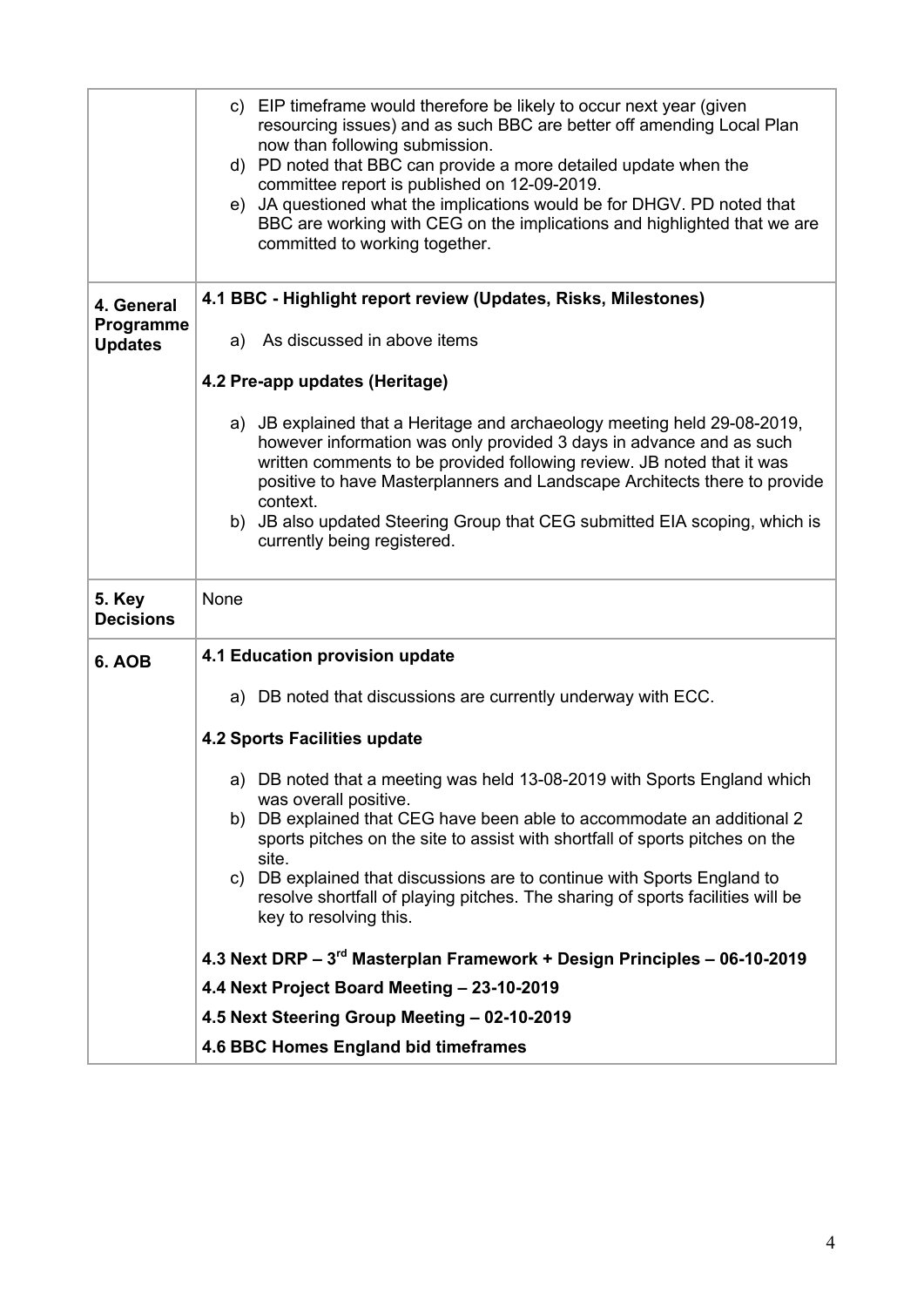|                             | c) EIP timeframe would therefore be likely to occur next year (given<br>resourcing issues) and as such BBC are better off amending Local Plan<br>now than following submission.<br>d) PD noted that BBC can provide a more detailed update when the<br>committee report is published on 12-09-2019.<br>e) JA questioned what the implications would be for DHGV. PD noted that<br>BBC are working with CEG on the implications and highlighted that we are<br>committed to working together. |  |  |  |
|-----------------------------|----------------------------------------------------------------------------------------------------------------------------------------------------------------------------------------------------------------------------------------------------------------------------------------------------------------------------------------------------------------------------------------------------------------------------------------------------------------------------------------------|--|--|--|
| 4. General                  | 4.1 BBC - Highlight report review (Updates, Risks, Milestones)                                                                                                                                                                                                                                                                                                                                                                                                                               |  |  |  |
| Programme<br><b>Updates</b> | a) As discussed in above items                                                                                                                                                                                                                                                                                                                                                                                                                                                               |  |  |  |
|                             | 4.2 Pre-app updates (Heritage)                                                                                                                                                                                                                                                                                                                                                                                                                                                               |  |  |  |
|                             | a) JB explained that a Heritage and archaeology meeting held 29-08-2019,<br>however information was only provided 3 days in advance and as such<br>written comments to be provided following review. JB noted that it was<br>positive to have Masterplanners and Landscape Architects there to provide<br>context.<br>b) JB also updated Steering Group that CEG submitted EIA scoping, which is<br>currently being registered.                                                              |  |  |  |
| 5. Key<br><b>Decisions</b>  | None                                                                                                                                                                                                                                                                                                                                                                                                                                                                                         |  |  |  |
| 6. AOB                      | 4.1 Education provision update                                                                                                                                                                                                                                                                                                                                                                                                                                                               |  |  |  |
|                             | a) DB noted that discussions are currently underway with ECC.                                                                                                                                                                                                                                                                                                                                                                                                                                |  |  |  |
|                             | <b>4.2 Sports Facilities update</b>                                                                                                                                                                                                                                                                                                                                                                                                                                                          |  |  |  |
|                             | a) DB noted that a meeting was held 13-08-2019 with Sports England which                                                                                                                                                                                                                                                                                                                                                                                                                     |  |  |  |
|                             | was overall positive.<br>b) DB explained that CEG have been able to accommodate an additional 2<br>sports pitches on the site to assist with shortfall of sports pitches on the<br>site.                                                                                                                                                                                                                                                                                                     |  |  |  |
|                             | c) DB explained that discussions are to continue with Sports England to<br>resolve shortfall of playing pitches. The sharing of sports facilities will be<br>key to resolving this.                                                                                                                                                                                                                                                                                                          |  |  |  |
|                             |                                                                                                                                                                                                                                                                                                                                                                                                                                                                                              |  |  |  |
|                             | 4.3 Next DRP - 3rd Masterplan Framework + Design Principles - 06-10-2019                                                                                                                                                                                                                                                                                                                                                                                                                     |  |  |  |
|                             | 4.4 Next Project Board Meeting - 23-10-2019                                                                                                                                                                                                                                                                                                                                                                                                                                                  |  |  |  |
|                             | 4.5 Next Steering Group Meeting - 02-10-2019<br>4.6 BBC Homes England bid timeframes                                                                                                                                                                                                                                                                                                                                                                                                         |  |  |  |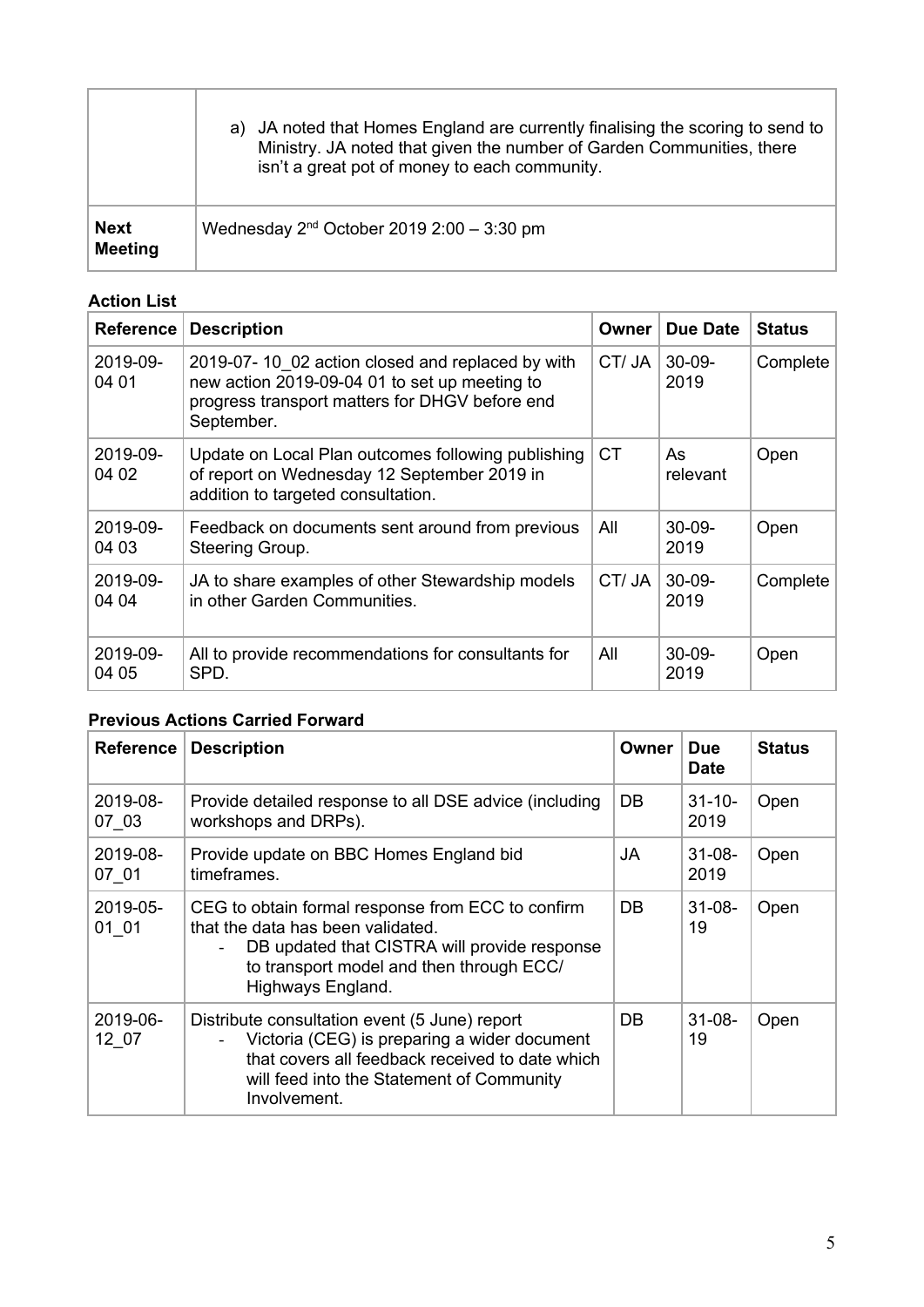|                               | a) JA noted that Homes England are currently finalising the scoring to send to<br>Ministry. JA noted that given the number of Garden Communities, there<br>isn't a great pot of money to each community. |
|-------------------------------|----------------------------------------------------------------------------------------------------------------------------------------------------------------------------------------------------------|
| <b>Next</b><br><b>Meeting</b> | Wednesday $2nd$ October 2019 2:00 - 3:30 pm                                                                                                                                                              |

## **Action List**

ĭ

 $\overline{1}$ 

| <b>Reference</b>  | <b>Description</b>                                                                                                                                                | Owner     | Due Date            | <b>Status</b> |
|-------------------|-------------------------------------------------------------------------------------------------------------------------------------------------------------------|-----------|---------------------|---------------|
| 2019-09-<br>04 01 | 2019-07-10 02 action closed and replaced by with<br>new action 2019-09-04 01 to set up meeting to<br>progress transport matters for DHGV before end<br>September. | CT/JA     | $30-09-$<br>2019    | Complete      |
| 2019-09-<br>04 02 | Update on Local Plan outcomes following publishing<br>of report on Wednesday 12 September 2019 in<br>addition to targeted consultation.                           | <b>CT</b> | As<br>relevant      | Open          |
| 2019-09-<br>04 03 | Feedback on documents sent around from previous<br>Steering Group.                                                                                                | All       | $30-09-$<br>2019    | Open          |
| 2019-09-<br>04 04 | JA to share examples of other Stewardship models<br>in other Garden Communities.                                                                                  | CT/JA     | $30 - 09 -$<br>2019 | Complete      |
| 2019-09-<br>04 05 | All to provide recommendations for consultants for<br>SPD.                                                                                                        | All       | $30-09-$<br>2019    | Open          |

## **Previous Actions Carried Forward**

| <b>Reference</b>  | <b>Description</b>                                                                                                                                                                                                                  | Owner | <b>Due</b><br><b>Date</b> | <b>Status</b> |
|-------------------|-------------------------------------------------------------------------------------------------------------------------------------------------------------------------------------------------------------------------------------|-------|---------------------------|---------------|
| 2019-08-<br>07 03 | Provide detailed response to all DSE advice (including<br>workshops and DRPs).                                                                                                                                                      | DB    | $31 - 10 -$<br>2019       | Open          |
| 2019-08-<br>07 01 | Provide update on BBC Homes England bid<br>timeframes.                                                                                                                                                                              | JA    | $31 - 08 -$<br>2019       | Open          |
| 2019-05-<br>01 01 | CEG to obtain formal response from ECC to confirm<br>that the data has been validated.<br>DB updated that CISTRA will provide response<br>$\overline{\phantom{0}}$<br>to transport model and then through ECC/<br>Highways England. | DB    | $31 - 08 -$<br>19         | Open          |
| 2019-06-<br>12 07 | Distribute consultation event (5 June) report<br>Victoria (CEG) is preparing a wider document<br>$\blacksquare$<br>that covers all feedback received to date which<br>will feed into the Statement of Community<br>Involvement.     | DB.   | $31 - 08 -$<br>19         | Open          |